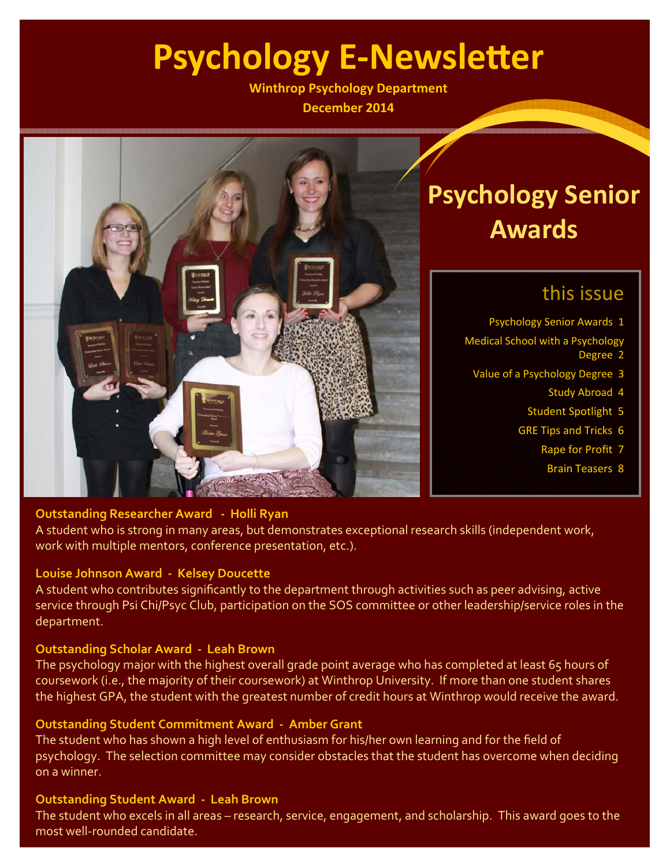# **Psychology E-Newsletter**

**Winthrop Psychology Department December 2014**



# **Psychology Senior Awards**

## this issue

Psychology Senior Awards 1

- Medical School with a Psychology Degree 2
	- Value of a Psychology Degree 3
		- Study Abroad 4
		- Student Spotlight 5
		- GRE Tips and Tricks 6
			- Rape for Profit 7
				- Brain Teasers 8

### **Outstanding Researcher Award ‐ Holli Ryan**

A student who is strong in many areas, but demonstrates exceptional research skills (independent work, work with multiple mentors, conference presentation, etc.).

### **Louise Johnson Award ‐ Kelsey Doucette**

A student who contributes significantly to the department through activities such as peer advising, active service through Psi Chi/Psyc Club, participation on the SOS committee or other leadership/service roles in the department.

### **Outstanding Scholar Award ‐ Leah Brown**

The psychology major with the highest overall grade point average who has completed at least 65 hours of coursework (i.e., the majority of their coursework) at Winthrop University. If more than one student shares the highest GPA, the student with the greatest number of credit hours at Winthrop would receive the award.

### **Outstanding Student Commitment Award ‐ Amber Grant**

The student who has shown a high level of enthusiasm for his/her own learning and for the field of psychology. The selection committee may consider obstacles that the student has overcome when deciding on a winner.

### **Outstanding Student Award ‐ Leah Brown**

The student who excels in all areas – research, service, engagement, and scholarship. This award goes to the most well‐rounded candidate.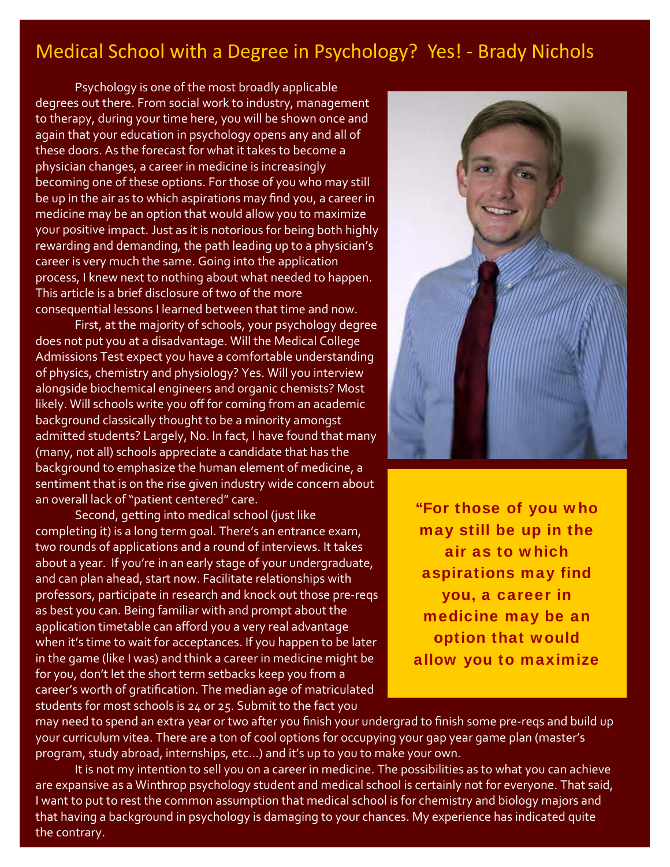## Medical School with a Degree in Psychology? Yes! ‐ Brady Nichols

Psychology is one of the most broadly applicable degrees out there. From social work to industry, management to therapy, during your time here, you will be shown once and again that your education in psychology opens any and all of these doors. As the forecast for what it takes to become a physician changes, a career in medicine is increasingly becoming one of these options. For those of you who may still be up in the air as to which aspirations may find you, a career in medicine may be an option that would allow you to maximize your positive impact. Just as it is notorious for being both highly rewarding and demanding, the path leading up to a physician's career is very much the same. Going into the application process, I knew next to nothing about what needed to happen. This article is a brief disclosure of two of the more consequential lessons I learned between that time and now.

First, at the majority of schools, your psychology degree does not put you at a disadvantage. Will the Medical College Admissions Test expect you have a comfortable understanding of physics, chemistry and physiology? Yes. Will you interview alongside biochemical engineers and organic chemists? Most likely. Will schools write you off for coming from an academic background classically thought to be a minority amongst admitted students? Largely, No. In fact, I have found that many (many, not all) schools appreciate a candidate that has the background to emphasize the human element of medicine, a sentiment that is on the rise given industry wide concern about an overall lack of "patient centered" care.

Second, getting into medical school (just like completing it) is a long term goal. There's an entrance exam, two rounds of applications and a round of interviews. It takes about a year. If you're in an early stage of your undergraduate, and can plan ahead, start now. Facilitate relationships with professors, participate in research and knock out those pre‐reqs as best you can. Being familiar with and prompt about the application timetable can afford you a very real advantage when it's time to wait for acceptances. If you happen to be later in the game (like I was) and think a career in medicine might be for you, don't let the short term setbacks keep you from a career's worth of gratification. The median age of matriculated students for most schools is 24 or 25. Submit to the fact you



"For those of you who may still be up in the air as to which aspirations may find you, a career in medicine may be an option that would allow you to maximize

may need to spend an extra year or two after you finish your undergrad to finish some pre‐reqs and build up your curriculum vitea. There are a ton of cool options for occupying your gap year game plan (master's program, study abroad, internships, etc…) and it's up to you to make your own.

It is not my intention to sell you on a career in medicine. The possibilities as to what you can achieve are expansive as a Winthrop psychology student and medical school is certainly not for everyone. That said, I want to put to rest the common assumption that medical school is for chemistry and biology majors and that having a background in psychology is damaging to your chances. My experience has indicated quite the contrary.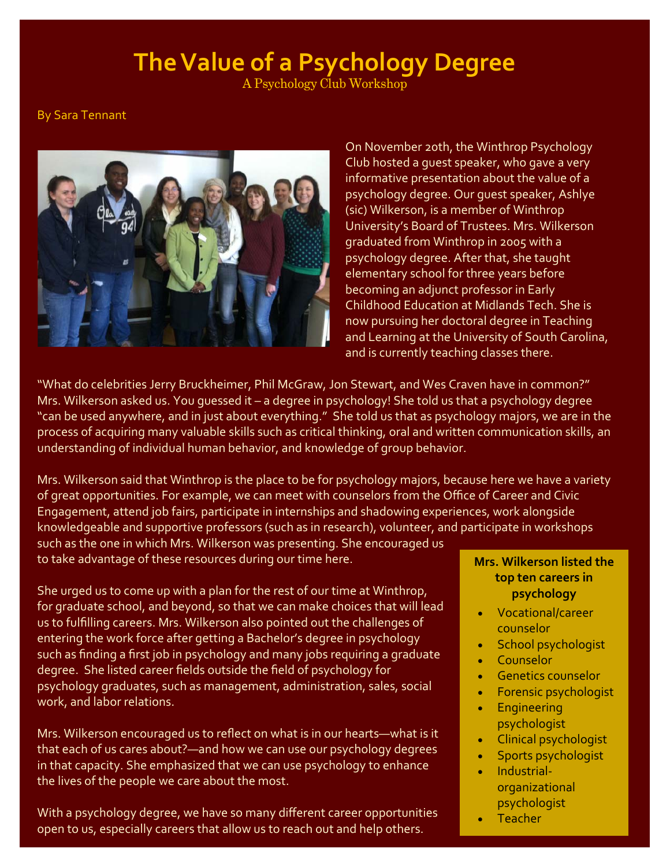# **TheValue of a Psychology Degree**

A Psychology Club Workshop

By Sara Tennant



On November 20th, the Winthrop Psychology Club hosted a guest speaker, who gave a very informative presentation about the value of a psychology degree. Our guest speaker, Ashlye (sic) Wilkerson, is a member of Winthrop University's Board of Trustees. Mrs. Wilkerson graduated from Winthrop in 2005 with a psychology degree. After that, she taught elementary school for three years before becoming an adjunct professor in Early Childhood Education at Midlands Tech. She is now pursuing her doctoral degree in Teaching and Learning at the University of South Carolina, and is currently teaching classes there.

"What do celebrities Jerry Bruckheimer, Phil McGraw, Jon Stewart, and Wes Craven have in common?" Mrs. Wilkerson asked us. You guessed it – a degree in psychology! She told us that a psychology degree "can be used anywhere, and in just about everything." She told us that as psychology majors, we are in the process of acquiring many valuable skills such as critical thinking, oral and written communication skills, an understanding of individual human behavior, and knowledge of group behavior.

Mrs. Wilkerson said that Winthrop is the place to be for psychology majors, because here we have a variety of great opportunities. For example, we can meet with counselors from the Office of Career and Civic Engagement, attend job fairs, participate in internships and shadowing experiences, work alongside knowledgeable and supportive professors (such as in research), volunteer, and participate in workshops

such as the one in which Mrs. Wilkerson was presenting. She encouraged us to take advantage of these resources during our time here.

She urged us to come up with a plan for the rest of our time at Winthrop, for graduate school, and beyond, so that we can make choices that will lead us to fulfilling careers. Mrs. Wilkerson also pointed out the challenges of entering the work force after getting a Bachelor's degree in psychology such as finding a first job in psychology and many jobs requiring a graduate degree. She listed career fields outside the field of psychology for psychology graduates, such as management, administration, sales, social work, and labor relations.

Mrs. Wilkerson encouraged us to reflect on what is in our hearts—what is it that each of us cares about?—and how we can use our psychology degrees in that capacity. She emphasized that we can use psychology to enhance the lives of the people we care about the most.

With a psychology degree, we have so many different career opportunities open to us, especially careers that allow us to reach out and help others.

### **Mrs. Wilkerson listed the top ten careers in psychology**

- Vocational/career counselor
- School psychologist
- Counselor
- Genetics counselor
- Forensic psychologist
- **•** Engineering psychologist
- Clinical psychologist
- Sports psychologist
- Industrial‐ organizational psychologist
- Teacher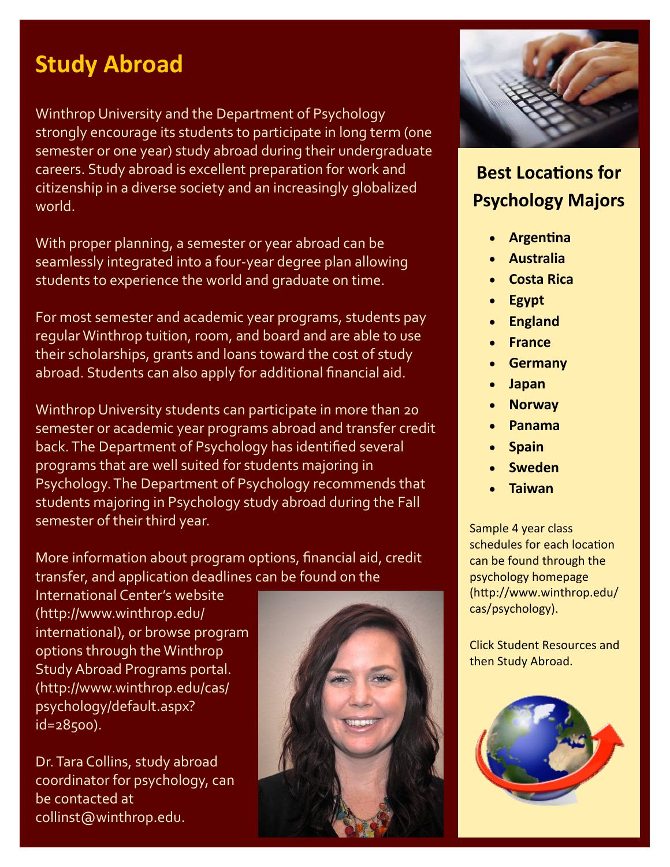# **Study Abroad**

Winthrop University and the Department of Psychology strongly encourage its students to participate in long term (one semester or one year) study abroad during their undergraduate careers. Study abroad is excellent preparation for work and citizenship in a diverse society and an increasingly globalized world.

With proper planning, a semester or year abroad can be seamlessly integrated into a four‐year degree plan allowing students to experience the world and graduate on time.

For most semester and academic year programs, students pay regular Winthrop tuition, room, and board and are able to use their scholarships, grants and loans toward the cost of study abroad. Students can also apply for additional financial aid.

Winthrop University students can participate in more than 20 semester or academic year programs abroad and transfer credit back.The Department of Psychology has identified several programs that are well suited for students majoring in Psychology.The Department of Psychology recommends that students majoring in Psychology study abroad during the Fall semester of their third year.

More information about program options, financial aid, credit transfer, and application deadlines can be found on the

International Center's website (http://www.winthrop.edu/ international), or browse program options through the Winthrop Study Abroad Programs portal. (http://www.winthrop.edu/cas/ psychology/default.aspx? id=28500).

Dr.Tara Collins, study abroad coordinator for psychology, can be contacted at collinst@winthrop.edu.





## **Best LocaƟons for Psychology Majors**

- **ArgenƟna**
- **Australia**
- **Costa Rica**
- **Egypt**
- **England**
- **France**
- **Germany**
- **Japan**
- **Norway**
- **Panama**
- **Spain**
- **Sweden**
- **Taiwan**

Sample 4 year class schedules for each location can be found through the psychology homepage (http://www.winthrop.edu/ cas/psychology).

Click Student Resources and then Study Abroad.

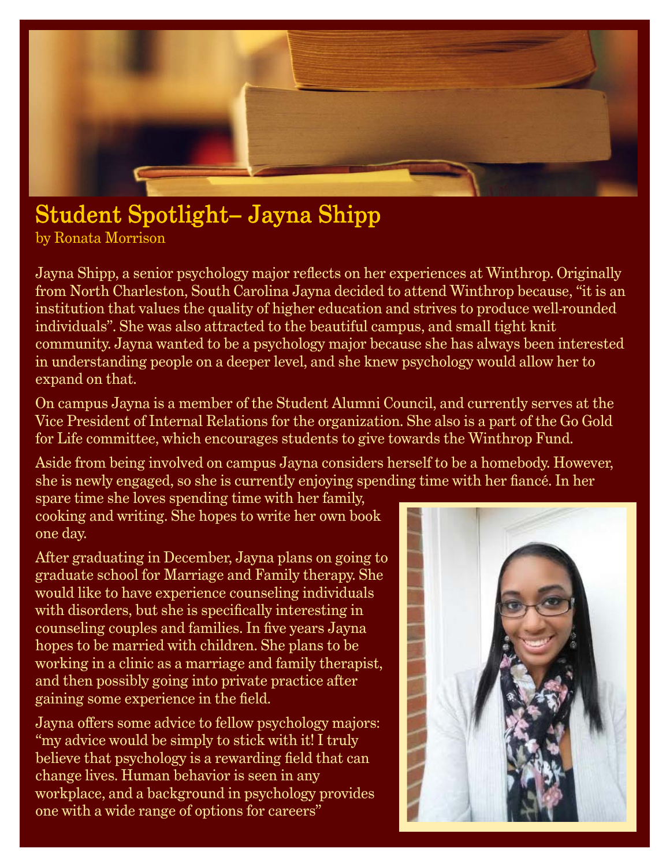

# Student Spotlight– Jayna Shipp

by Ronata Morrison

Jayna Shipp, a senior psychology major reflects on her experiences at Winthrop. Originally from North Charleston, South Carolina Jayna decided to attend Winthrop because, "it is an institution that values the quality of higher education and strives to produce well-rounded individuals". She was also attracted to the beautiful campus, and small tight knit community. Jayna wanted to be a psychology major because she has always been interested in understanding people on a deeper level, and she knew psychology would allow her to expand on that.

On campus Jayna is a member of the Student Alumni Council, and currently serves at the Vice President of Internal Relations for the organization. She also is a part of the Go Gold for Life committee, which encourages students to give towards the Winthrop Fund.

Aside from being involved on campus Jayna considers herself to be a homebody. However, she is newly engaged, so she is currently enjoying spending time with her fiancé. In her

spare time she loves spending time with her family, cooking and writing. She hopes to write her own book one day.

After graduating in December, Jayna plans on going to graduate school for Marriage and Family therapy. She would like to have experience counseling individuals with disorders, but she is specifically interesting in counseling couples and families. In five years Jayna hopes to be married with children. She plans to be working in a clinic as a marriage and family therapist, and then possibly going into private practice after gaining some experience in the field.

Jayna offers some advice to fellow psychology majors: "my advice would be simply to stick with it! I truly believe that psychology is a rewarding field that can change lives. Human behavior is seen in any workplace, and a background in psychology provides one with a wide range of options for careers"

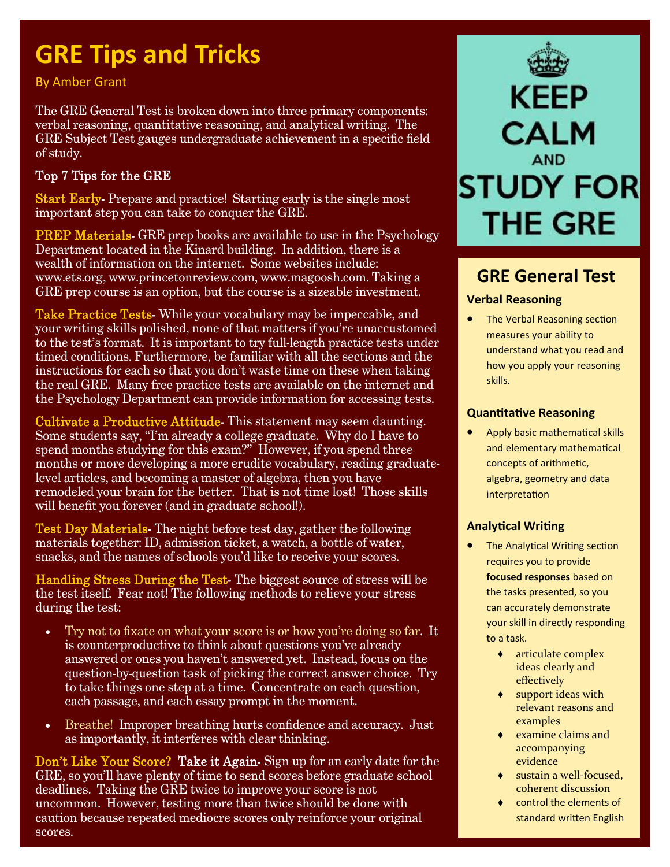# **GRE Tips and Tricks**

By Amber Grant

The GRE General Test is broken down into three primary components: verbal reasoning, quantitative reasoning, and analytical writing. The GRE Subject Test gauges undergraduate achievement in a specific field of study.

## Top 7 Tips for the GRE

Start Early-Prepare and practice! Starting early is the single most important step you can take to conquer the GRE.

**PREP Materials-** GRE prep books are available to use in the Psychology Department located in the Kinard building. In addition, there is a wealth of information on the internet. Some websites include: www.ets.org, www.princetonreview.com, www.magoosh.com. Taking a GRE prep course is an option, but the course is a sizeable investment.

Take Practice Tests- While your vocabulary may be impeccable, and your writing skills polished, none of that matters if you're unaccustomed to the test's format. It is important to try full-length practice tests under timed conditions. Furthermore, be familiar with all the sections and the instructions for each so that you don't waste time on these when taking the real GRE. Many free practice tests are available on the internet and the Psychology Department can provide information for accessing tests.

Cultivate a Productive Attitude- This statement may seem daunting. Some students say, "I'm already a college graduate. Why do I have to spend months studying for this exam?" However, if you spend three months or more developing a more erudite vocabulary, reading graduatelevel articles, and becoming a master of algebra, then you have remodeled your brain for the better. That is not time lost! Those skills will benefit you forever (and in graduate school!).

Test Day Materials- The night before test day, gather the following materials together: ID, admission ticket, a watch, a bottle of water, snacks, and the names of schools you'd like to receive your scores.

Handling Stress During the Test- The biggest source of stress will be the test itself. Fear not! The following methods to relieve your stress during the test:

- Try not to fixate on what your score is or how you're doing so far. It is counterproductive to think about questions you've already answered or ones you haven't answered yet. Instead, focus on the question-by-question task of picking the correct answer choice. Try to take things one step at a time. Concentrate on each question, each passage, and each essay prompt in the moment.
- Breathe! Improper breathing hurts confidence and accuracy. Just as importantly, it interferes with clear thinking.

Don't Like Your Score? Take it Again-Sign up for an early date for the GRE, so you'll have plenty of time to send scores before graduate school deadlines. Taking the GRE twice to improve your score is not uncommon. However, testing more than twice should be done with caution because repeated mediocre scores only reinforce your original scores.



## **GRE General Test**

#### **Verbal Reasoning**

• The Verbal Reasoning section measures your ability to understand what you read and how you apply your reasoning skills.

#### **QuanƟtaƟve Reasoning**

• Apply basic mathematical skills and elementary mathematical concepts of arithmetic, algebra, geometry and data **interpretation** 

#### **AnalyƟcal WriƟng**

- The Analytical Writing section requires you to provide **focused responses** based on the tasks presented, so you can accurately demonstrate your skill in directly responding to a task.
	- articulate complex ideas clearly and effectively
	- support ideas with relevant reasons and examples
	- $\bullet$  examine claims and accompanying evidence
	- sustain a well‐focused, coherent discussion
	- control the elements of standard written English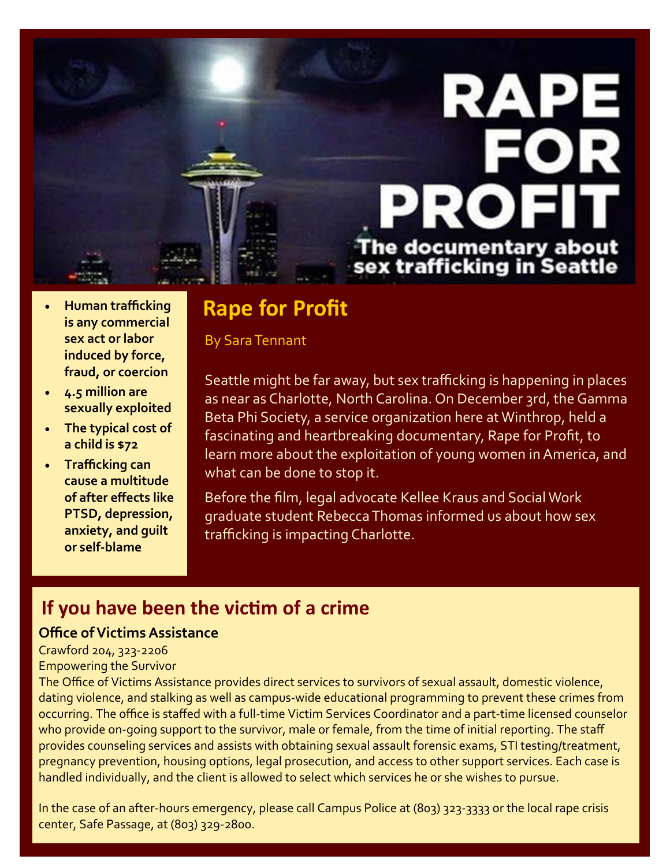

- **Human trafficking is any commercial sex act or labor induced by force, fraud, or coercion**
- **4.5 million are sexually exploited**
- **The typical cost of a child is \$72**
- **Trafficking can cause a multitude of after effects like PTSD, depression, anxiety, and guilt or self‐blame**

## **Rape for Profit**

**By Sara Tennant** 

Seattle might be far away, but sex trafficking is happening in places as near as Charlotte, North Carolina. On December 3rd, the Gamma Beta Phi Society, a service organization here at Winthrop, held a fascinating and heartbreaking documentary, Rape for Profit, to learn more about the exploitation of young women in America, and what can be done to stop it.

Before the film, legal advocate Kellee Kraus and Social Work graduate student RebeccaThomas informed us about how sex trafficking is impacting Charlotte.

## **If you have been the vicƟm of a crime**

### **Office ofVictimsAssistance**

Crawford 204, 323‐2206

#### Empowering the Survivor

The Office of Victims Assistance provides direct services to survivors of sexual assault, domestic violence, dating violence, and stalking as well as campus‐wide educational programming to prevent these crimes from occurring. The office is staffed with a full‐time Victim Services Coordinator and a part‐time licensed counselor who provide on-going support to the survivor, male or female, from the time of initial reporting. The staff provides counseling services and assists with obtaining sexual assault forensic exams, STI testing/treatment, pregnancy prevention, housing options, legal prosecution, and access to other support services. Each case is handled individually, and the client is allowed to select which services he or she wishes to pursue.

In the case of an after‐hours emergency, please call Campus Police at (803) 323‐3333 or the local rape crisis center, Safe Passage, at (803) 329‐2800.